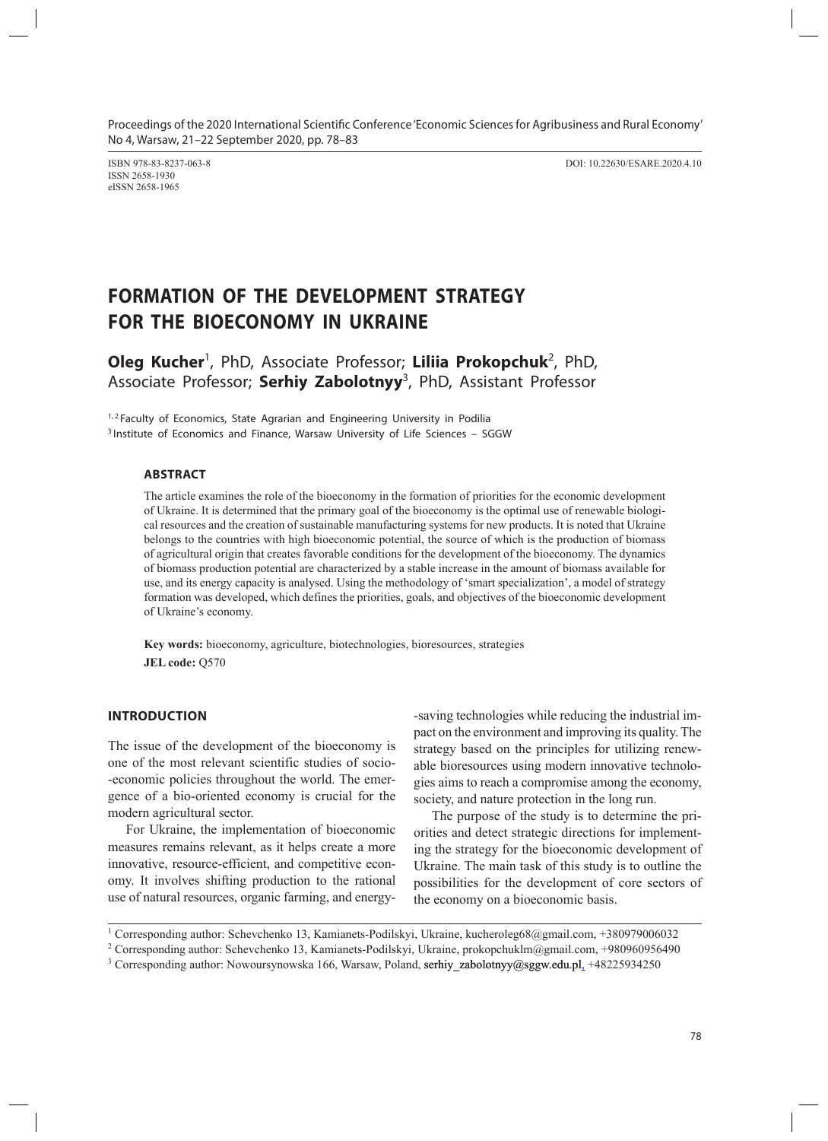Proceedings of the 2020 International Scientific Conference 'Economic Sciences for Agribusiness and Rural Economy' No 4, Warsaw, 21–22 September 2020, pp. 78–83

ISSN 2658-1930 eISSN 2658-1965

ISBN 978-83-8237-063-8 DOI: 10.22630/ESARE.2020.4.10

# **FORMATION OF THE DEVELOPMENT STRATEGY FOR THE BIOECONOMY IN UKRAINE**

Oleg Kucher<sup>1</sup>, PhD, Associate Professor; Liliia Prokopchuk<sup>2</sup>, PhD, Associate Professor; **Serhiy Zabolotnyy**<sup>3</sup> , PhD, Assistant Professor

<sup>1, 2</sup> Faculty of Economics, State Agrarian and Engineering University in Podilia <sup>3</sup> Institute of Economics and Finance, Warsaw University of Life Sciences – SGGW

## **ABSTRACT**

The article examines the role of the bioeconomy in the formation of priorities for the economic development of Ukraine. It is determined that the primary goal of the bioeconomy is the optimal use of renewable biological resources and the creation of sustainable manufacturing systems for new products. It is noted that Ukraine belongs to the countries with high bioeconomic potential, the source of which is the production of biomass of agricultural origin that creates favorable conditions for the development of the bioeconomy. The dynamics of biomass production potential are characterized by a stable increase in the amount of biomass available for use, and its energy capacity is analysed. Using the methodology of 'smart specialization', a model of strategy formation was developed, which defines the priorities, goals, and objectives of the bioeconomic development of Ukraine's economy.

**Key words:** bioeconomy, agriculture, biotechnologies, bioresources, strategies **JEL code:** Q570

## **INTRODUCTION**

The issue of the development of the bioeconomy is one of the most relevant scientific studies of socio- -economic policies throughout the world. The emergence of a bio-oriented economy is crucial for the modern agricultural sector.

For Ukraine, the implementation of bioeconomic measures remains relevant, as it helps create a more innovative, resource-efficient, and competitive economy. It involves shifting production to the rational use of natural resources, organic farming, and energy-

-saving technologies while reducing the industrial impact on the environment and improving its quality. The strategy based on the principles for utilizing renewable bioresources using modern innovative technologies aims to reach a compromise among the economy, society, and nature protection in the long run.

The purpose of the study is to determine the priorities and detect strategic directions for implementing the strategy for the bioeconomic development of Ukraine. The main task of this study is to outline the possibilities for the development of core sectors of the economy on a bioeconomic basis.

<sup>1</sup> Corresponding author: Schevchenko 13, Kamianets-Podilskyi, Ukraine, kucheroleg68@gmail.com, +380979006032

<sup>&</sup>lt;sup>2</sup> Corresponding author: Schevchenko 13, Kamianets-Podilskyi, Ukraine, prokopchuklm@gmail.com, +980960956490

 $3$  Corresponding author: Nowoursynowska 166, Warsaw, Poland, serhiy\_zabolotnyy@sggw.edu.pl, +48225934250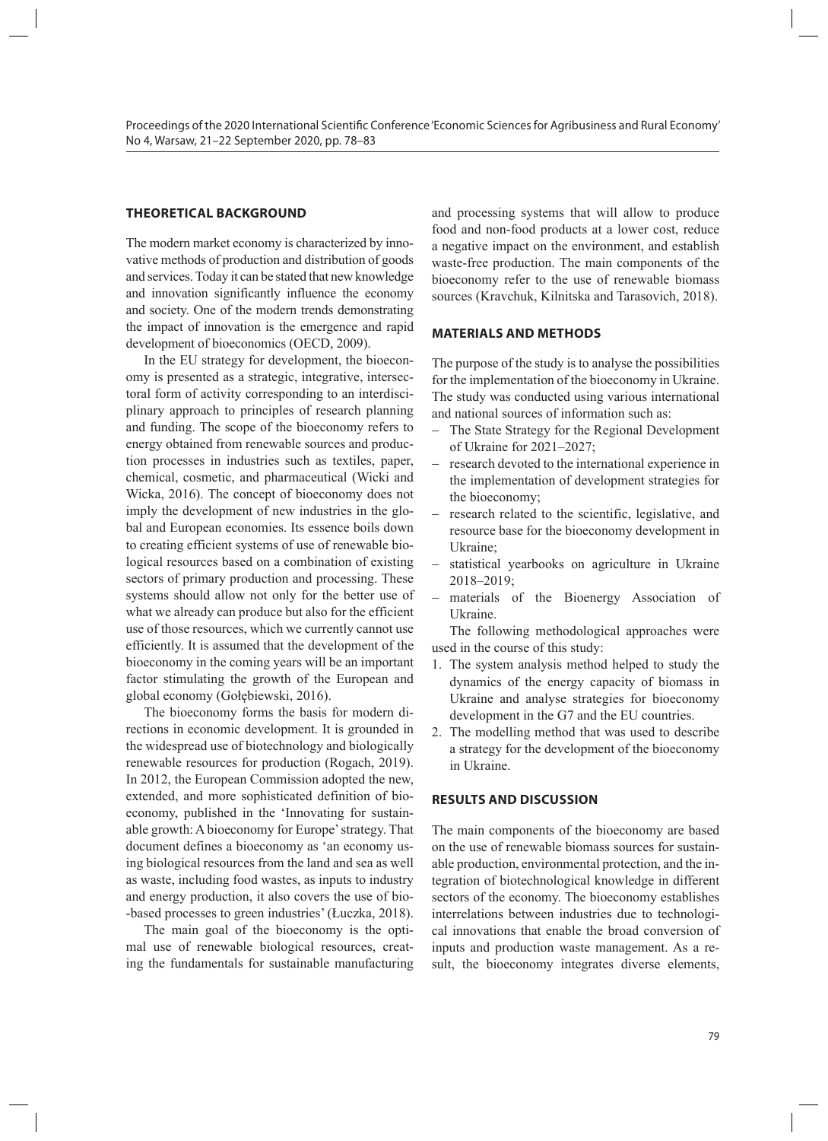# **THEORETICAL BACKGROUND**

The modern market economy is characterized by innovative methods of production and distribution of goods and services. Today it can be stated that new knowledge and innovation significantly influence the economy and society. One of the modern trends demonstrating the impact of innovation is the emergence and rapid development of bioeconomics (OECD, 2009).

In the EU strategy for development, the bioeconomy is presented as a strategic, integrative, intersectoral form of activity corresponding to an interdisciplinary approach to principles of research planning and funding. The scope of the bioeconomy refers to energy obtained from renewable sources and production processes in industries such as textiles, paper, chemical, cosmetic, and pharmaceutical (Wicki and Wicka, 2016). The concept of bioeconomy does not imply the development of new industries in the glo bal and European economies. Its essence boils down to creating efficient systems of use of renewable biological resources based on a combination of existing sectors of primary production and processing. These systems should allow not only for the better use of what we already can produce but also for the efficient use of those resources, which we currently cannot use efficiently. It is assumed that the development of the bioeconomy in the coming years will be an important factor stimulating the growth of the European and global economy (Gołębiewski, 2016).

The bioeconomy forms the basis for modern directions in economic development. It is grounded in the widespread use of biotechnology and biologically renewable resources for production (Rogach, 2019). In 2012, the European Commission adopted the new, extended, and more sophisticated definition of bioeconomy, published in the 'Innovating for sustainable growth: A bioeconomy for Europe' strategy. That document defines a bioeconomy as 'an economy using biological resources from the land and sea as well as waste, including food wastes, as inputs to industry and energy production, it also covers the use of bio- -based processes to green industries' (Łuczka, 2018).

The main goal of the bioeconomy is the optimal use of renewable biological resources, creating the fundamentals for sustainable manufacturing

and processing systems that will allow to produce food and non-food products at a lower cost, reduce a negative impact on the environment, and establish waste-free production. The main components of the bioeconomy refer to the use of renewable biomass sources (Kravchuk, Kilnitska and Tarasovich, 2018).

#### **MATERIALS AND METHODS**

The purpose of the study is to analyse the possibilities for the implementation of the bioeconomy in Ukraine. The study was conducted using various international and national sources of information such as:

- − The State Strategy for the Regional Development of Ukraine for 2021–2027;
- research devoted to the international experience in the implementation of development strategies for the bioeconomy;
- research related to the scientific, legislative, and resource base for the bioeconomy development in Ukraine;
- − statistical yearbooks on agriculture in Ukraine 2018–2019;
- materials of the Bioenergy Association of Ukraine.

The following methodological approaches were used in the course of this study:

- 1. The system analysis method helped to study the dynamics of the energy capacity of biomass in Ukraine and analyse strategies for bioeconomy development in the G7 and the EU countries.
- 2. The modelling method that was used to describe a strategy for the development of the bioeconomy in Ukraine.

# **RESULTS AND DISCUSSION**

The main components of the bioeconomy are based on the use of renewable biomass sources for sustainable production, environmental protection, and the integration of biotechnological knowledge in different sectors of the economy. The bioeconomy establishes interrelations between industries due to technological innovations that enable the broad conversion of inputs and production waste management. As a result, the bioeconomy integrates diverse elements,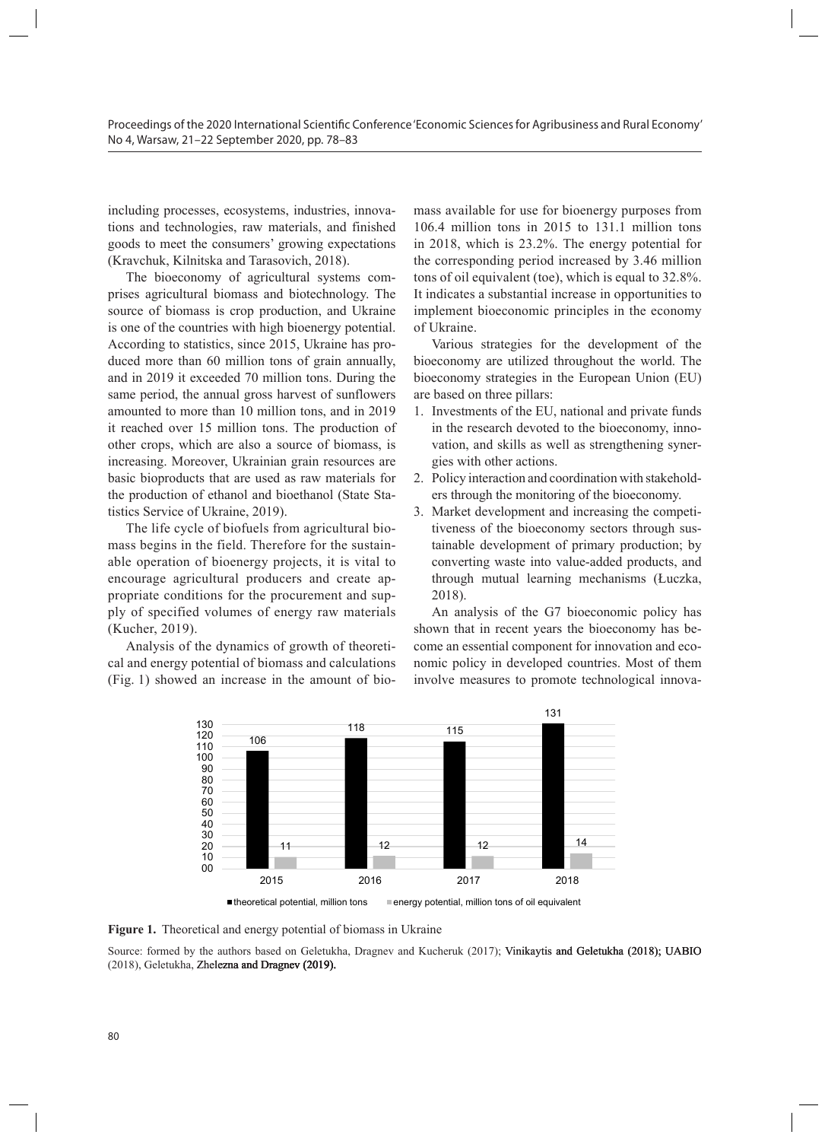including processes, ecosystems, industries, innovations and technologies, raw materials, and finished goods to meet the consumers' growing expectations (Kravchuk, Kilnitska and Tarasovich, 2018).

The bioeconomy of agricultural systems comprises agricultural biomass and biotechnology. The source of biomass is crop production, and Ukraine is one of the countries with high bioenergy potential.  $\overrightarrow{0}$  Ukraine. According to statistics, since 2015, Ukraine has pro-<br>According to statistics, since 2015, Ukraine has pro-<br> duced more than 60 million tons of grain annually, and in 2019 it exceeded 70 million tons. During the same period, the annual gross harvest of sunflowers are based on three pillars: amounted to more than 10 million tons, and in 2019 it reached over 15 million tons. The production of other crops, which are also a source of biomass, is increasing. Moreover, Ukrainian grain resources are gies with other actions. basic bioproducts that are used as raw materials for the production of ethanol and bioethanol (State Statistics Service of Ukraine, 2019).

mass begins in the field. Therefore for the sustainable operation of bioenergy projects, it is vital to encourage agricultural producers and create appropriate conditions for the procurement and supply of specified volumes of energy raw materials (Kucher, 2019).

Analysis of the dynamics of growth of theoretical and energy potential of biomass and calculations (Fig. 1) showed an increase in the amount of bio- involve measur

mass available for use for bioenergy purposes from 106.4 million tons in 2015 to 131.1 million tons in 2018, which is 23.2%. The energy potential for the corresponding period increased by 3.46 million tons of oil equivalent (toe), which is equal to 32.8%. It indicates a substantial increase in opportunities to is is crop production, and Ukraine implement bioeconomic principles in the economy of Ukraine.

statistics, since 2015, Ukraine has pro-<br>
Various strategies for the development of the broad han 60 million tons of grain annually, bioeconomy are utilized throughout the world. The t exceeded 70 million tons. During the bioeconomy strategies in the European Union (EU) are based on three pillars:

- 1. Investments of the EU, national and private funds 5 million tons. The production of a agricultural system of a system of a systems comprise agricultural biomass and systems and systems and systems and systems and systems and systems and systems and systems and systems are which are also a source of biomass, is crop production and skills as well as strengthening synergies with other actions. with the diso a source of biomass, is  $\frac{1}{2}$  validity and skins as well as such guidelining
- ucts that are used as raw materials for 2. Policy interaction and coordination with stakeholdn of ethanol and bioethanol (State Sta-crops through the monitoring of the bioeconomy.
- The life cycle of biofuels from agricultural bio-<br>tiveness of the bioeconomy sectors throu of Ukraine, 2019). 3. Market development and increasing the competitiveness of the bioeconomy sectors through sustainable development of primary production; by to head. Therefore for the sustain and almable development of primary production, by following the field. The field of the field. The field of the field. The field of the field. The field of the field. The field of the fie gricultural producers and create ap-<br>through mutual learning mechanisms (Łuczka, 2018). if of bioenergy projects, it is vital to encourage waste into value-added producers and producers and producers and producers and producers and producers and producers and producers and producers and producers and producer

volumes of energy raw materials An analysis of the G7 bioeconomic policy has shown that in recent years the bioeconomy has beof the dynamics of growth of theoreti- come an essential component for innovation and ecov potential of biomass and calculations nomic policy in developed countries. Most of them involve measures to promote technological innovapotential of biomass and calculations indifferently in developed countries. Most of



Figure 1. Theoretical and energy potential of biomass in Ukraine

Source: formed by the authors based on Geletukha, Dragnev and Kucheruk (2017); Vinikaytis and Geletukha (2018); UABIO Various strategies for the development of the bioeconomy are utilized throughout the (2018), Geletukha, Zhelezna and Dragnev (2019).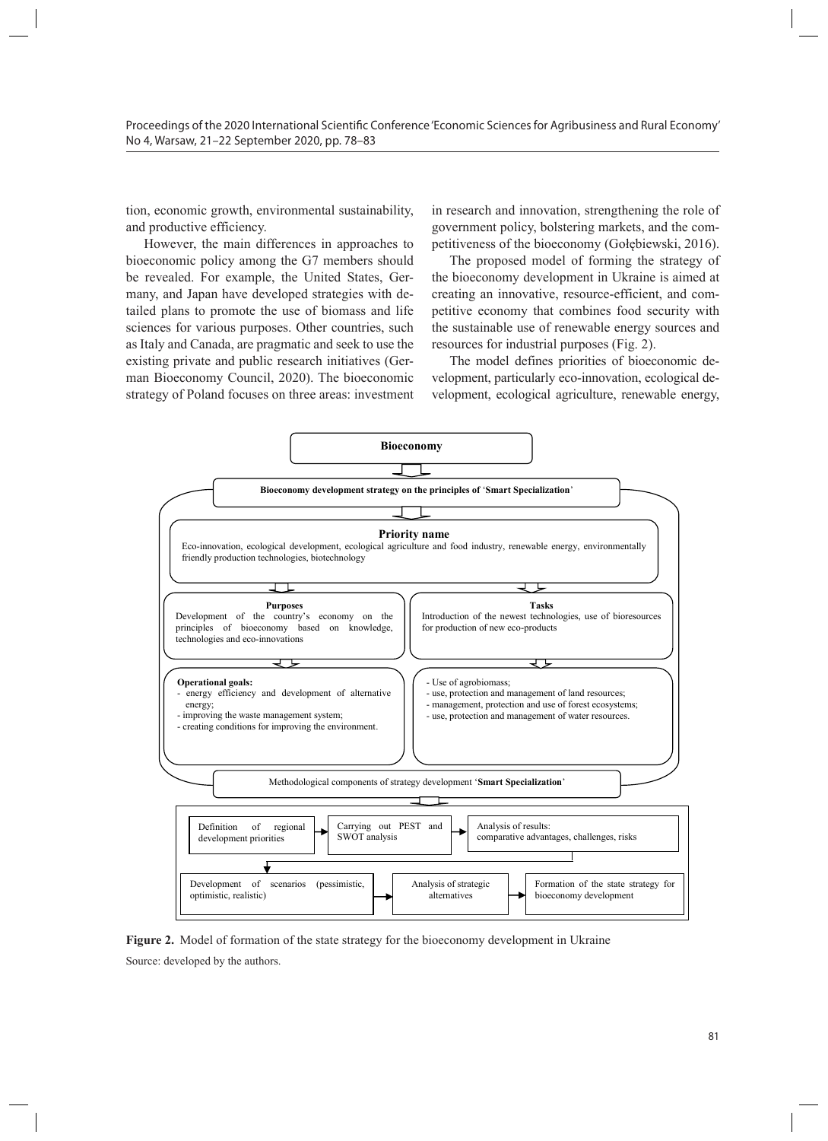tion, economic growth, environmental sustainability, and productive efficiency.

However, the main differences in approaches to bioeconomic policy among the G7 members should be revealed. For example, the United States, Germany, and Japan have developed strategies with detailed plans to promote the use of biomass and life sciences for various purposes. Other countries, such as Italy and Canada, are pragmatic and seek to use the existing private and public research initiatives (German Bioeconomy Council, 2020). The bioeconomic strategy of Poland focuses on three areas: investment

in research and innovation, strengthening the role of government policy, bolstering markets, and the competitiveness of the bioeconomy (Gołębiewski, 2016).

The proposed model of forming the strategy of the bioeconomy development in Ukraine is aimed at creating an innovative, resource-efficient, and competitive economy that combines food security with the sustainable use of renewable energy sources and resources for industrial purposes (Fig. 2).

The model defines priorities of bioeconomic development, particularly eco-innovation, ecological development, ecological agriculture, renewable energy,



**Figure 2.** Model of formation of the state strategy for the bioeconomy development in **Figure 2.** Model of formation of the state strategy for the bioeconomy development in Ukraine Source: developed by the authors.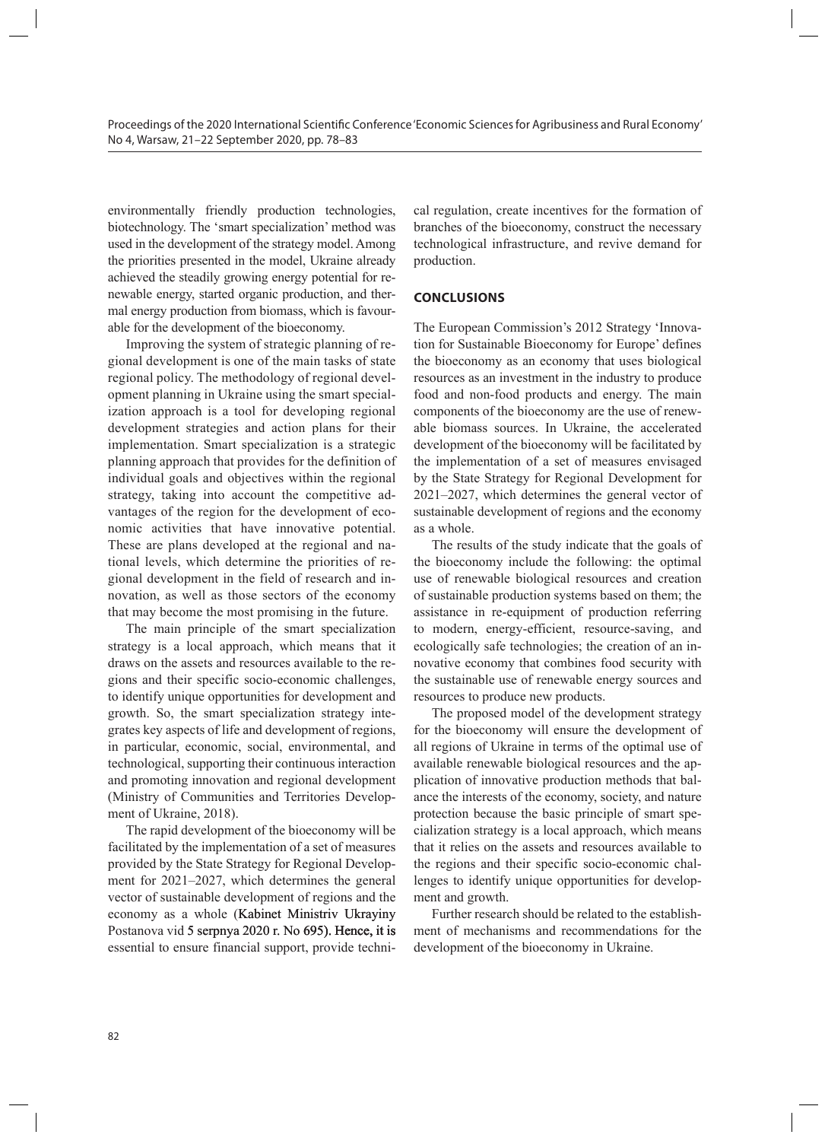environmentally friendly production technologies, biotechnology. The 'smart specialization' method was used in the development of the strategy model. Among the priorities presented in the model, Ukraine already achieved the steadily growing energy potential for renewable energy, started organic production, and thermal energy production from biomass, which is favourable for the development of the bioeconomy.

Improving the system of strategic planning of regional development is one of the main tasks of state regional policy. The methodology of regional development planning in Ukraine using the smart specialization approach is a tool for developing regional development strategies and action plans for their implementation. Smart specialization is a strategic planning approach that provides for the definition of individual goals and objectives within the regional strategy, taking into account the competitive advantages of the region for the development of economic activities that have innovative potential. These are plans developed at the regional and national levels, which determine the priorities of regional development in the field of research and innovation, as well as those sectors of the economy that may become the most promising in the future.

The main principle of the smart specialization strategy is a local approach, which means that it draws on the assets and resources available to the regions and their specific socio-economic challenges, to identify unique opportunities for development and growth. So, the smart specialization strategy integrates key aspects of life and development of regions, in particular, economic, social, environmental, and technological, supporting their continuous interaction and promoting innovation and regional development (Ministry of Communities and Territories Development of Ukraine, 2018).

The rapid development of the bioeconomy will be facilitated by the implementation of a set of measures provided by the State Strategy for Regional Development for 2021–2027, which determines the general vector of sustainable development of regions and the economy as a whole (Kabinet Ministriv Ukrayiny Postanova vid 5 serpnya 2020 r. No 695). Hence, it is essential to ensure financial support, provide technical regulation, create incentives for the formation of branches of the bioeconomy, construct the necessary technological infrastructure, and revive demand for production.

## **CONCLUSIONS**

The European Commission's 2012 Strategy 'Innovation for Sustainable Bioeconomy for Europe' defines the bioeconomy as an economy that uses biological resources as an investment in the industry to produce food and non-food products and energy. The main components of the bioeconomy are the use of renewable biomass sources. In Ukraine, the accelerated development of the bioeconomy will be facilitated by the implementation of a set of measures envisaged by the State Strategy for Regional Development for 2021–2027, which determines the general vector of sustainable development of regions and the economy as a whole.

The results of the study indicate that the goals of the bioeconomy include the following: the optimal use of renewable biological resources and creation of sustainable production systems based on them; the assistance in re-equipment of production referring to modern, energy-efficient, resource-saving, and ecologically safe technologies; the creation of an innovative economy that combines food security with the sustainable use of renewable energy sources and resources to produce new products.

The proposed model of the development strategy for the bioeconomy will ensure the development of all regions of Ukraine in terms of the optimal use of available renewable biological resources and the application of innovative production methods that balance the interests of the economy, society, and nature protection because the basic principle of smart specialization strategy is a local approach, which means that it relies on the assets and resources available to the regions and their specific socio-economic challenges to identify unique opportunities for development and growth.

Further research should be related to the establishment of mechanisms and recommendations for the development of the bioeconomy in Ukraine.